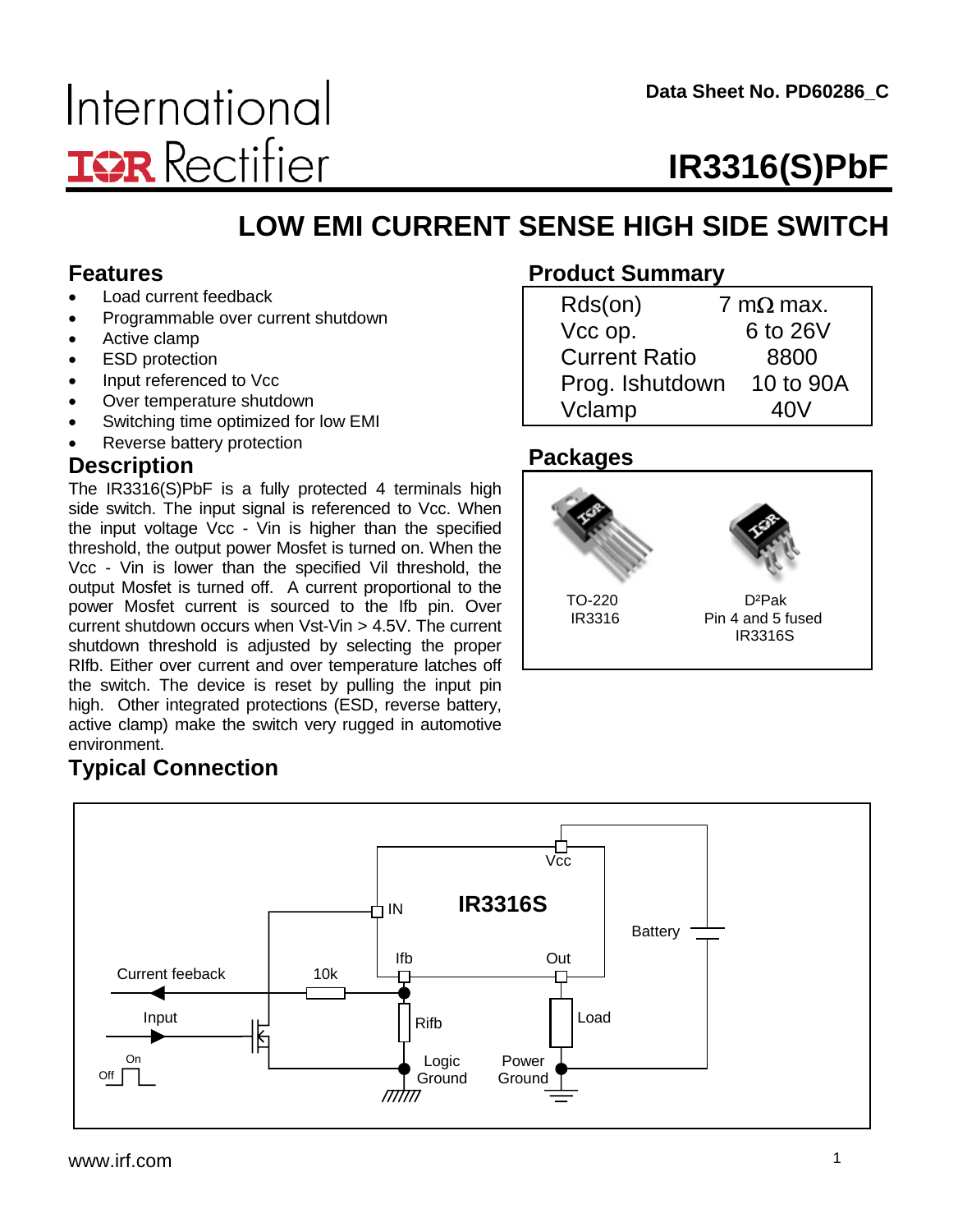# **IR3316(S)PbF**

# **LOW EMI CURRENT SENSE HIGH SIDE SWITCH**

#### **Features**

- Load current feedback
- Programmable over current shutdown
- Active clamp
- ESD protection
- Input referenced to Vcc
- Over temperature shutdown
- Switching time optimized for low EMI
- Reverse battery protection

#### **Description**

The  $IR3316(S)PbF$  is a fully protected 4 terminals high side switch. The input signal is referenced to Vcc. When the input voltage Vcc - Vin is higher than the specified threshold, the output power Mosfet is turned on. When the Vcc - Vin is lower than the specified Vil threshold, the output Mosfet is turned off. A current proportional to the power Mosfet current is sourced to the Ifb pin. Over current shutdown occurs when Vst-Vin > 4.5V. The current shutdown threshold is adjusted by selecting the proper RIfb. Either over current and over temperature latches off the switch. The device is reset by pulling the input pin high. Other integrated protections (ESD, reverse battery, active clamp) make the switch very rugged in automotive environment.

### **Product Summary**

| Rds(on)              | 7 m $\Omega$ max. |
|----------------------|-------------------|
| Vcc op.              | 6 to 26V          |
| <b>Current Ratio</b> | 8800              |
| Prog. Ishutdown      | 10 to 90A         |
| Vclamp               | 40V               |

### **Packages**



# **Typical Connection**

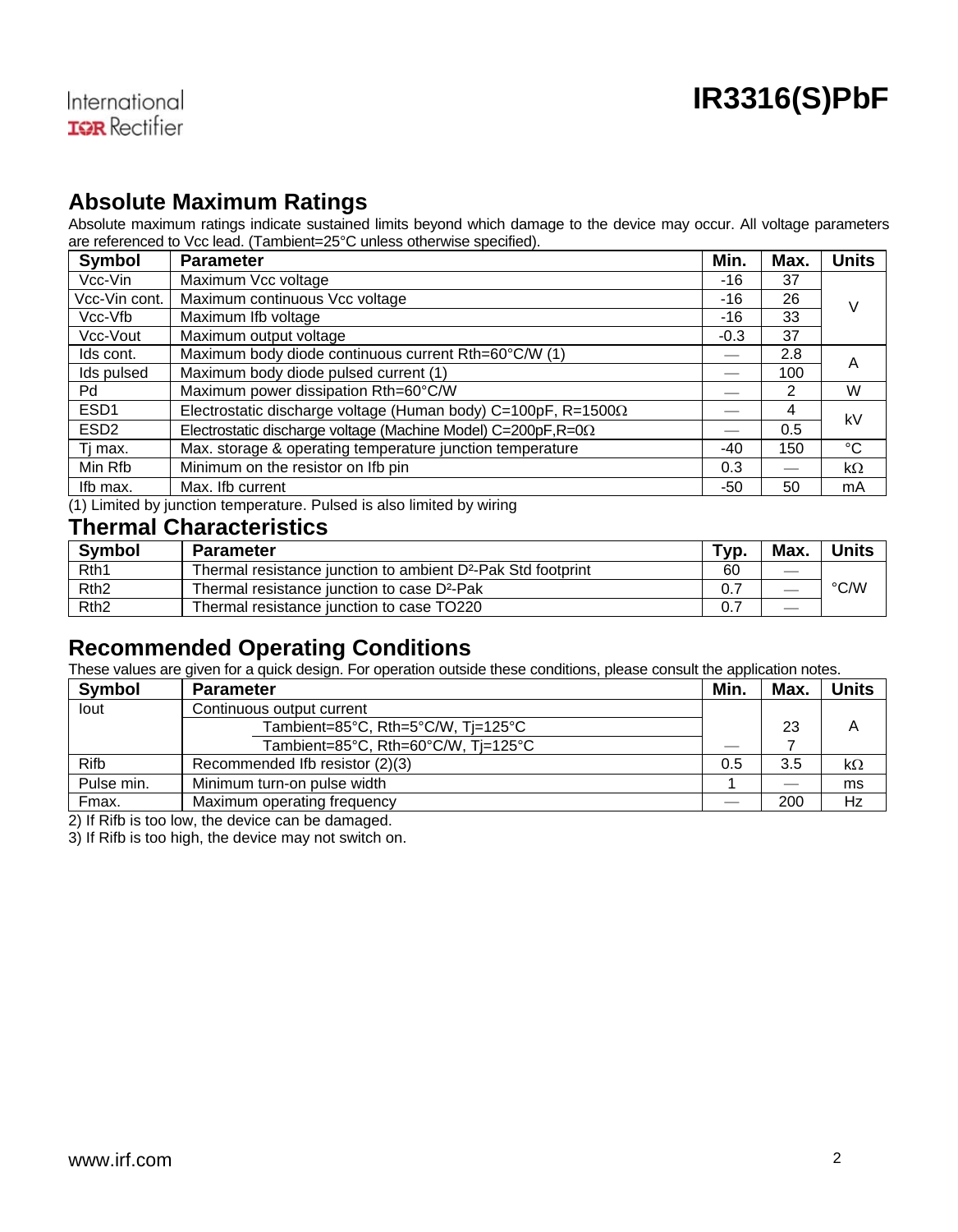#### **Absolute Maximum Ratings**

Absolute maximum ratings indicate sustained limits beyond which damage to the device may occur. All voltage parameters are referenced to Vcc lead. (Tambient=25°C unless otherwise specified).

| <b>Symbol</b>    | <b>Parameter</b>                                                       | Min.   | Max.                     | <b>Units</b> |
|------------------|------------------------------------------------------------------------|--------|--------------------------|--------------|
| Vcc-Vin          | Maximum Vcc voltage                                                    | -16    | 37                       |              |
| Vcc-Vin cont.    | Maximum continuous Vcc voltage                                         | $-16$  | 26                       | v            |
| Vcc-Vfb          | Maximum Ifb voltage                                                    | -16    | 33                       |              |
| Vcc-Vout         | Maximum output voltage                                                 | $-0.3$ | 37                       |              |
| Ids cont.        | Maximum body diode continuous current Rth=60°C/W (1)                   |        | 2.8                      | A            |
| Ids pulsed       | Maximum body diode pulsed current (1)                                  |        | 100                      |              |
| Pd               | Maximum power dissipation Rth=60°C/W                                   |        | 2                        | W            |
| ESD <sub>1</sub> | Electrostatic discharge voltage (Human body) C=100pF, R=1500 $\Omega$  |        | 4                        | kV           |
| ESD <sub>2</sub> | Electrostatic discharge voltage (Machine Model) C=200pF, $R = 0\Omega$ |        | 0.5                      |              |
| Ti max.          | Max. storage & operating temperature junction temperature              | $-40$  | 150                      | °C           |
| Min Rfb          | Minimum on the resistor on Ifb pin                                     | 0.3    | $\overline{\phantom{m}}$ | $k\Omega$    |
| Ifb max.         | Max. Ifb current                                                       | -50    | 50                       | mA           |

(1) Limited by junction temperature. Pulsed is also limited by wiring

#### **Thermal Characteristics**

| <b>Symbol</b>    | <b>Parameter</b>                                                         | Tvp. | Max. | <b>Units</b> |
|------------------|--------------------------------------------------------------------------|------|------|--------------|
| Rth <sub>1</sub> | Thermal resistance junction to ambient D <sup>2</sup> -Pak Std footprint | 60   |      |              |
| Rth <sub>2</sub> | Thermal resistance junction to case D <sup>2</sup> -Pak                  | 0.7  |      | °C/W         |
| Rth <sub>2</sub> | Thermal resistance junction to case TO220                                | 0. . |      |              |

#### **Recommended Operating Conditions**

These values are given for a quick design. For operation outside these conditions, please consult the application notes.

| <b>Symbol</b> | <b>Parameter</b>                    | Min. | Max. | <b>Units</b> |
|---------------|-------------------------------------|------|------|--------------|
| lout          | Continuous output current           |      |      |              |
|               | Tambient=85°C, Rth=5°C/W, Tj=125°C  |      | 23   | Α            |
|               | Tambient=85°C, Rth=60°C/W, Tj=125°C |      |      |              |
| Rifb          | Recommended Ifb resistor (2)(3)     | 0.5  | 3.5  | $k\Omega$    |
| Pulse min.    | Minimum turn-on pulse width         |      |      | ms           |
| Fmax.         | Maximum operating frequency         |      | 200  | Hz           |

2) If Rifb is too low, the device can be damaged.

3) If Rifb is too high, the device may not switch on.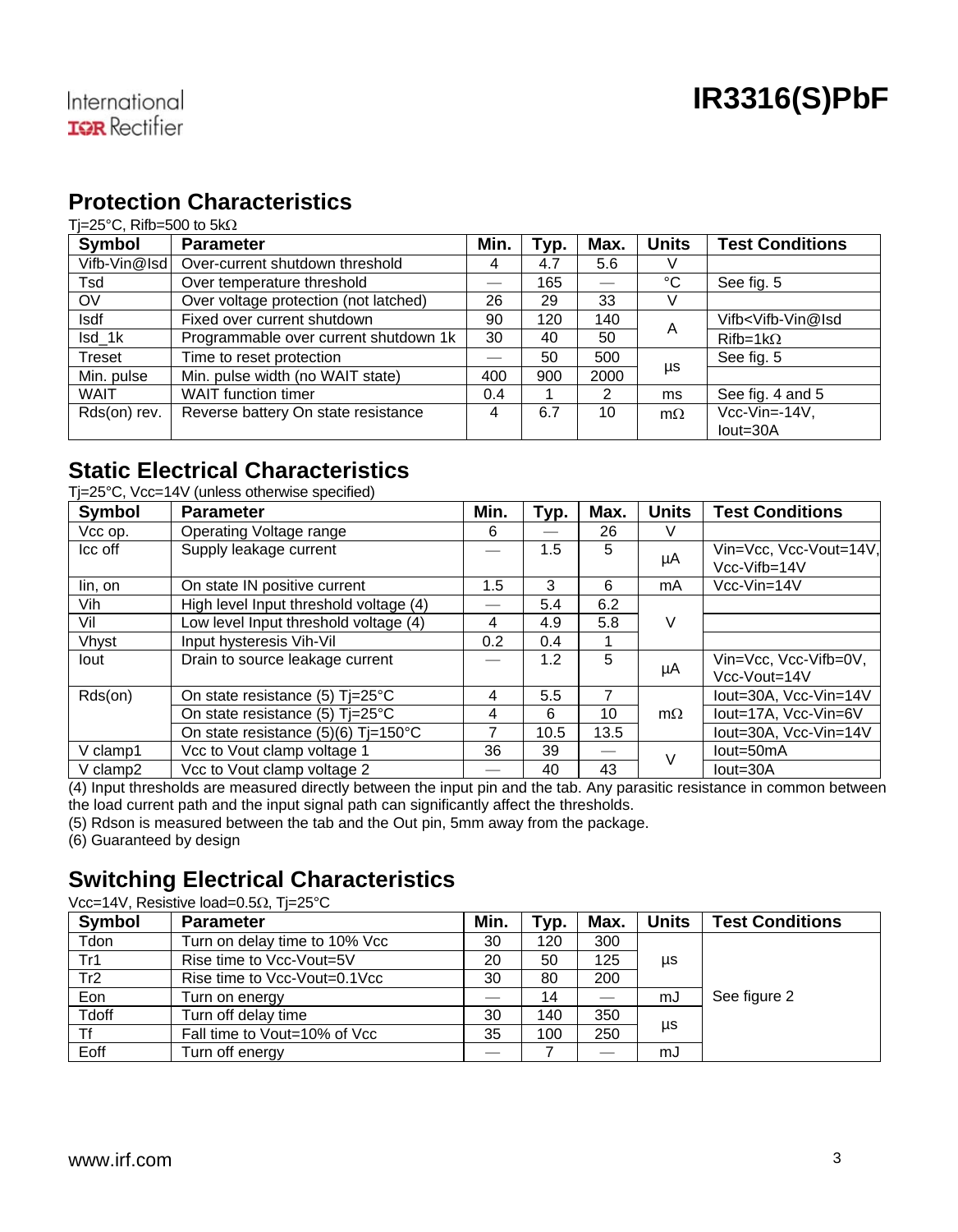#### **Protection Characteristics**

#### Tj=25°C, Rifb=500 to 5kΩ

| Symbol       | <b>Parameter</b>                      | Min.                     | Typ. | Max. | <b>Units</b> | <b>Test Conditions</b>                     |
|--------------|---------------------------------------|--------------------------|------|------|--------------|--------------------------------------------|
| Vifb-Vin@Isd | Over-current shutdown threshold       | 4                        | 4.7  | 5.6  |              |                                            |
| Tsd          | Over temperature threshold            | $\overline{\phantom{0}}$ | 165  |      | °C           | See fig. 5                                 |
| OV           | Over voltage protection (not latched) | 26                       | 29   | 33   | V            |                                            |
| <b>Isdf</b>  | Fixed over current shutdown           | 90                       | 120  | 140  | A            | Vifb <vifb-vin@isd< td=""></vifb-vin@isd<> |
| Isd 1k       | Programmable over current shutdown 1k | 30                       | 40   | 50   |              | $Rifb=1k\Omega$                            |
| Treset       | Time to reset protection              |                          | 50   | 500  |              | See fig. 5                                 |
| Min. pulse   | Min. pulse width (no WAIT state)      | 400                      | 900  | 2000 | μs           |                                            |
| <b>WAIT</b>  | <b>WAIT</b> function timer            | 0.4                      |      | 2    | ms           | See fig. 4 and 5                           |
| Rds(on) rev. | Reverse battery On state resistance   | 4                        | 6.7  | 10   | $m\Omega$    | $Vcc-Vin=.14V$ ,                           |
|              |                                       |                          |      |      |              | lout=30A                                   |

#### **Static Electrical Characteristics**

Tj=25°C, Vcc=14V (unless otherwise specified)

| Symbol   | <b>Parameter</b>                         | Min. | Typ. | Max. | <b>Units</b> | <b>Test Conditions</b>                 |
|----------|------------------------------------------|------|------|------|--------------|----------------------------------------|
| Vcc op.  | Operating Voltage range                  | 6    |      | 26   | v            |                                        |
| Icc off  | Supply leakage current                   |      | 1.5  | 5    | μA           | Vin=Vcc, Vcc-Vout=14V,<br>Vcc-Vifb=14V |
| lin, on  | On state IN positive current             | 1.5  | 3    | 6    | mA           | $Vcc-Vin=14V$                          |
| Vih      | High level Input threshold voltage (4)   |      | 5.4  | 6.2  |              |                                        |
| Vil      | Low level Input threshold voltage (4)    | 4    | 4.9  | 5.8  | V            |                                        |
| Vhvst    | Input hysteresis Vih-Vil                 | 0.2  | 0.4  |      |              |                                        |
| lout     | Drain to source leakage current          |      | 1.2  | 5    | μA           | Vin=Vcc, Vcc-Vifb=0V,<br>Vcc-Vout=14V  |
| Rds(on)  | On state resistance (5) $Ti=25^{\circ}C$ | 4    | 5.5  | 7    |              | lout=30A. Vcc-Vin=14V                  |
|          | On state resistance (5) $Ti=25^{\circ}C$ | 4    | 6    | 10   | $m\Omega$    | lout=17A, Vcc-Vin=6V                   |
|          | On state resistance $(5)(6)$ Ti=150°C    |      | 10.5 | 13.5 |              | lout=30A. Vcc-Vin=14V                  |
| V clamp1 | Vcc to Vout clamp voltage 1              | 36   | 39   |      |              | lout=50mA                              |
| V clamp2 | Vcc to Vout clamp voltage 2              |      | 40   | 43   |              | $Iout = 30A$                           |

(4) Input thresholds are measured directly between the input pin and the tab. Any parasitic resistance in common between the load current path and the input signal path can significantly affect the thresholds.

(5) Rdson is measured between the tab and the Out pin, 5mm away from the package.

(6) Guaranteed by design

### **Switching Electrical Characteristics**

Vcc=14V, Resistive load=0.5Ω, Tj=25°C

| <b>Symbol</b> | <b>Parameter</b>              | Min. | Typ. | Max. | Units | <b>Test Conditions</b> |  |
|---------------|-------------------------------|------|------|------|-------|------------------------|--|
| Tdon          | Turn on delay time to 10% Vcc | 30   | 120  | 300  |       |                        |  |
| Tr1           | Rise time to Vcc-Vout=5V      |      | 50   | 125  | μs    |                        |  |
| Tr2           | Rise time to Vcc-Vout=0.1Vcc  | 30   | 80   | 200  |       |                        |  |
| Eon           | Turn on energy                |      | 14   |      | mJ    | See figure 2           |  |
| Tdoff         | Turn off delay time           | 30   | 140  | 350  |       |                        |  |
|               | Fall time to Vout=10% of Vcc  | 35   | 100  | 250  | μs    |                        |  |
| Eoff          | Turn off energy               |      |      |      | mJ    |                        |  |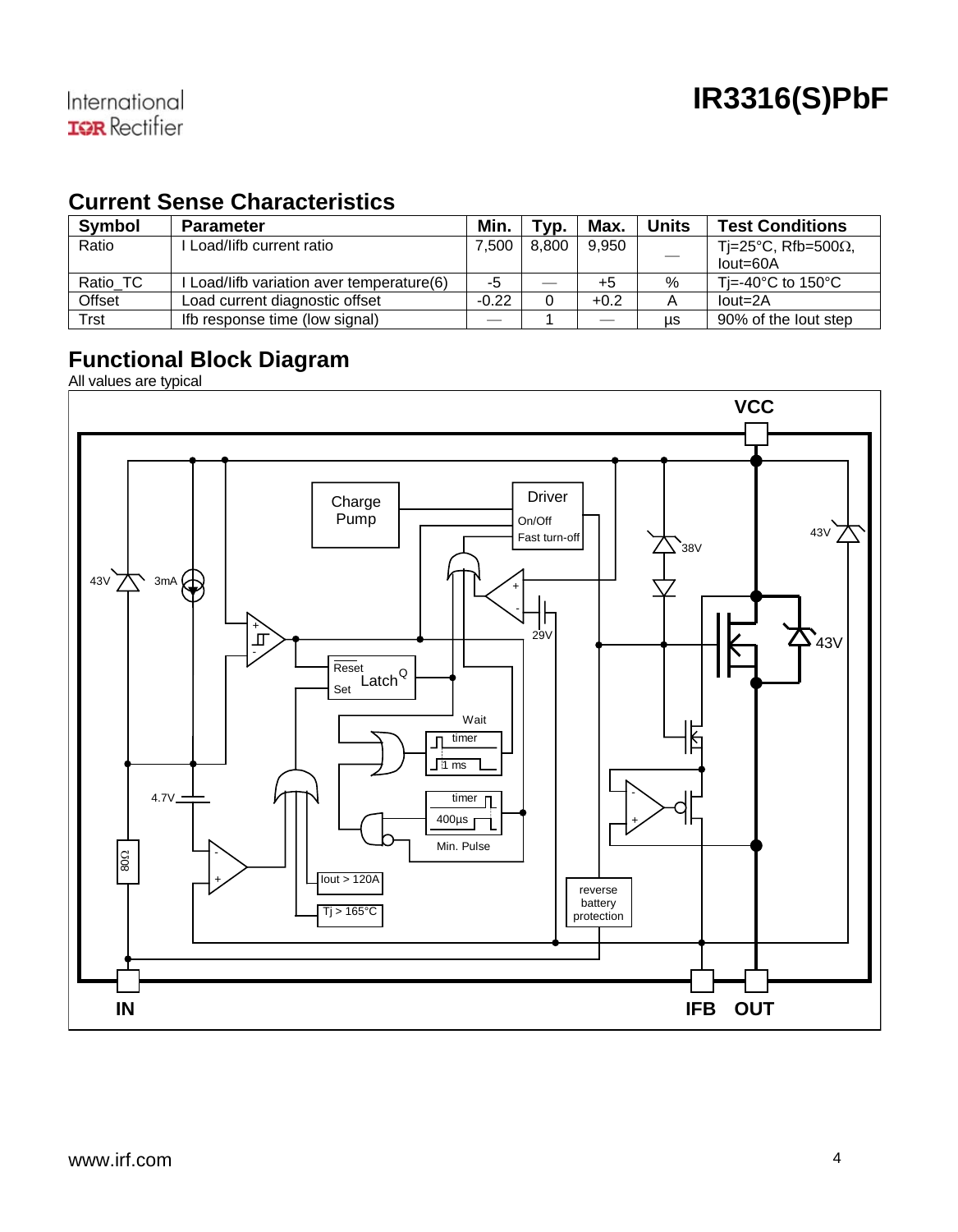### **Current Sense Characteristics**

| <b>Symbol</b> | <b>Parameter</b>                        | Min.    | Tvp.  | Max.   | Units | <b>Test Conditions</b>                  |
|---------------|-----------------------------------------|---------|-------|--------|-------|-----------------------------------------|
| Ratio         | Load/lifb current ratio                 | 7.500   | 8.800 | 9.950  |       | Ti=25°C, Rfb=500 $\Omega$ ,             |
|               |                                         |         |       |        |       | $Iout=60A$                              |
| Ratio TC      | Load/lifb variation aver temperature(6) | -5      |       | +5     | %     | Ti=-40 $^{\circ}$ C to 150 $^{\circ}$ C |
| Offset        | Load current diagnostic offset          | $-0.22$ | 0     | $+0.2$ |       | $Iout=2A$                               |
| Trst          | If the response time (low signal)       |         |       |        | us    | 90% of the lout step                    |

### **Functional Block Diagram**

All values are typ ical

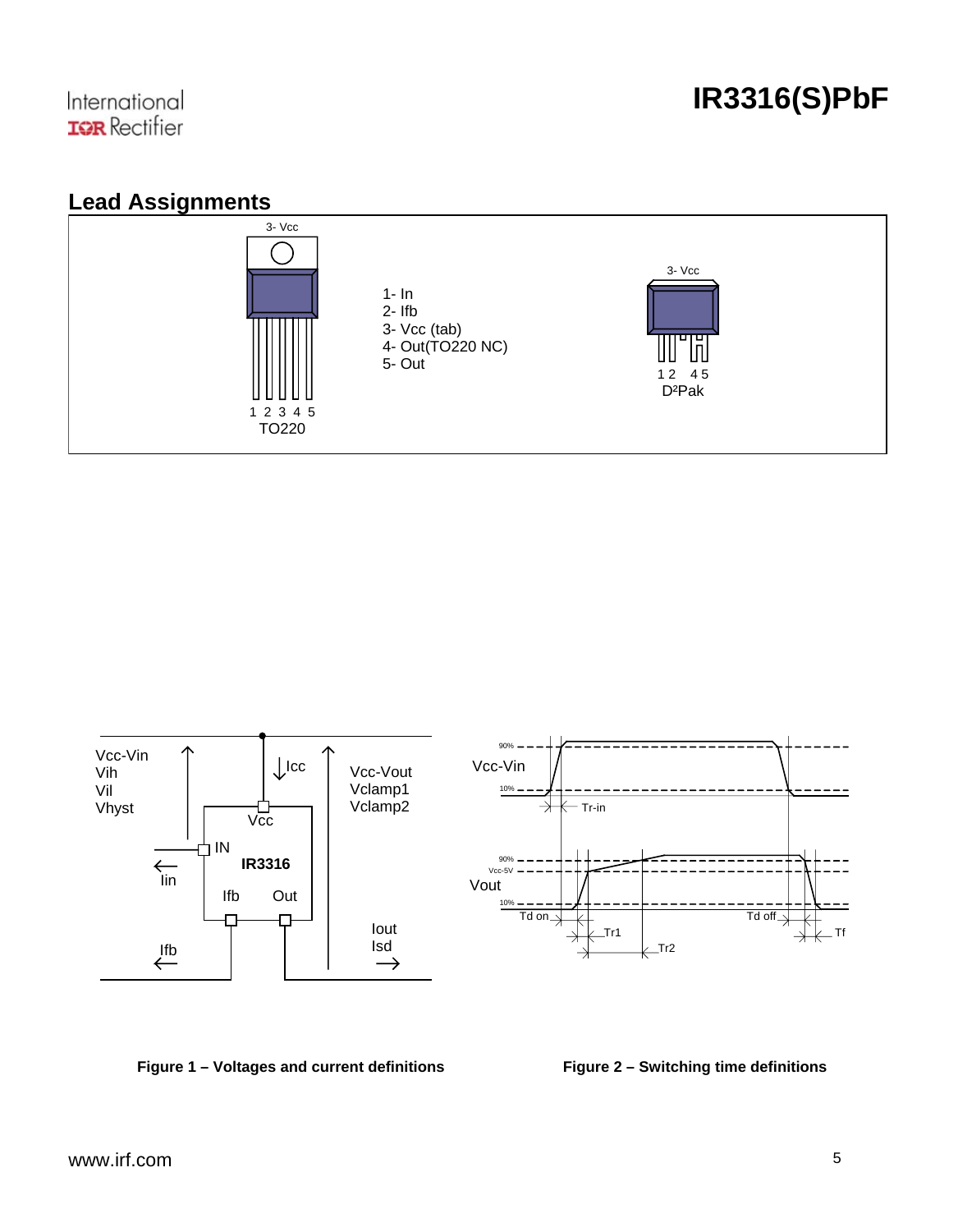



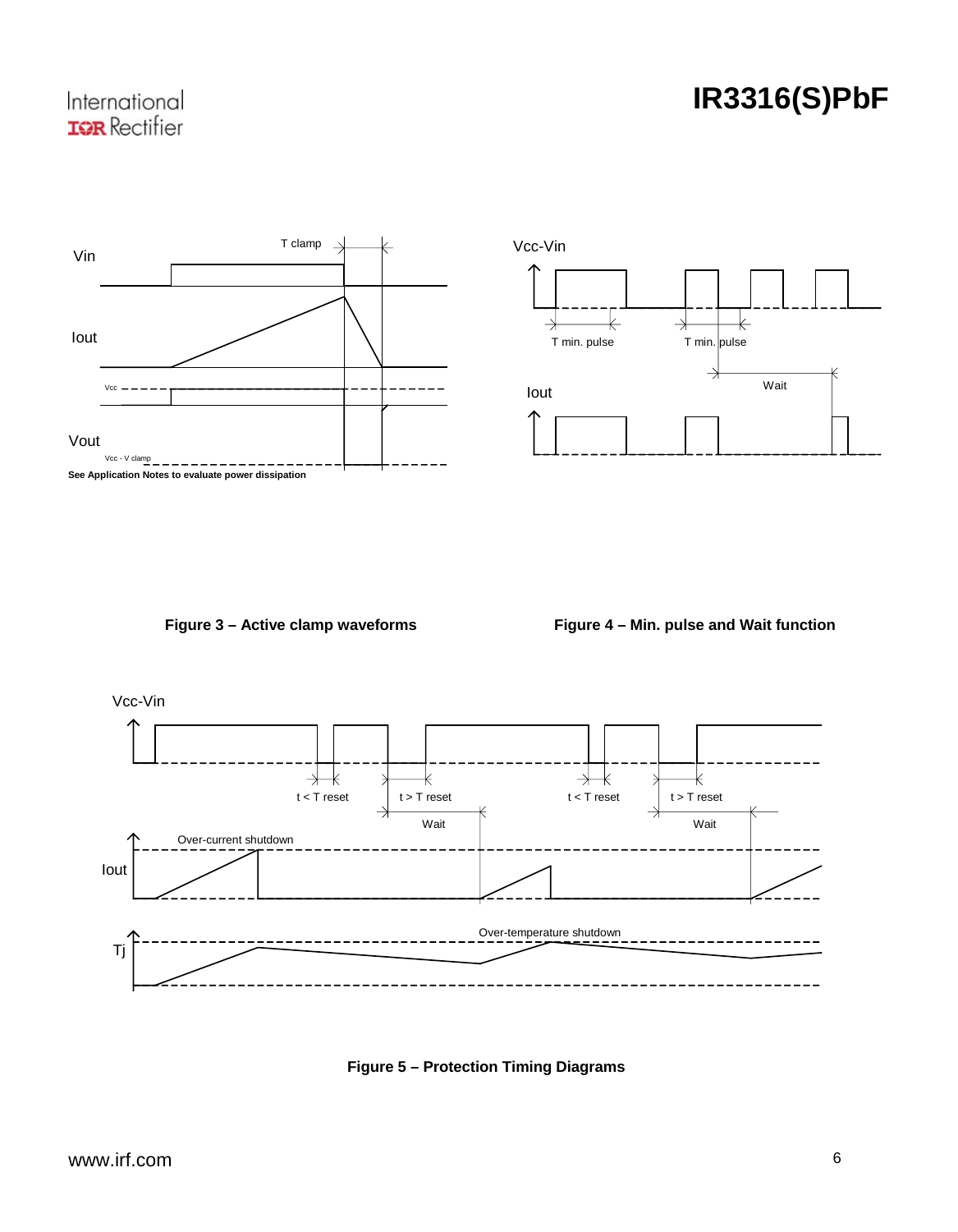# **IR3316(S)PbF**





Figure 3 – Active clamp waveforms **Figure 4 – Min. pulse and Wait function** 



**Figure 5 – Protection Timing Diagrams**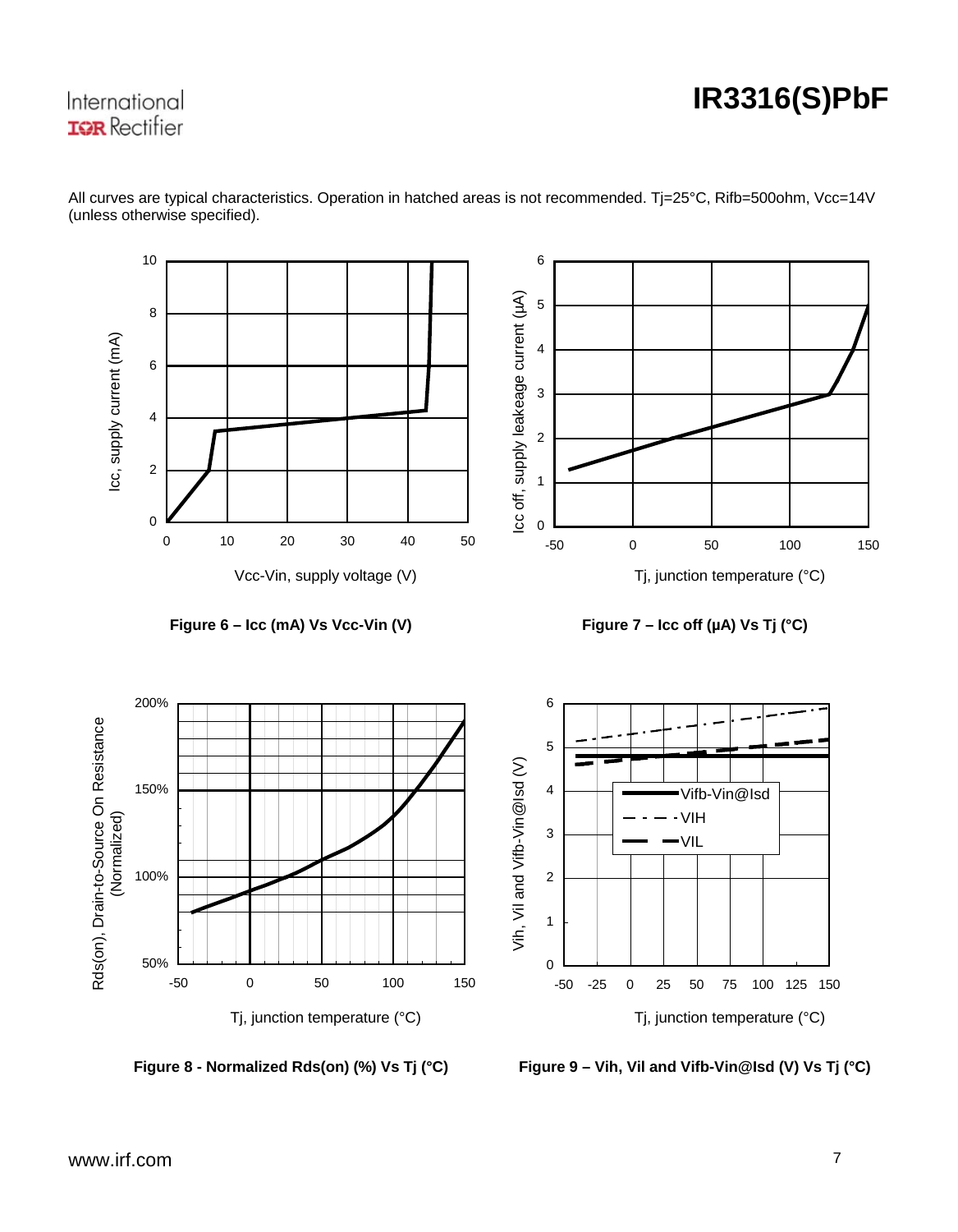# **IR3316(S)PbF**



All curves are typical characteristics. Operation in hatched areas is not recommended. Tj=25°C, Rifb=500ohm, Vcc=14V (unless otherwise specified).

**Figure 8 - Normalized Rds(on**

**il and Vifb-Vin@Isd (V) Vs Tj (°C) ) (%) Vs Tj (°C) Figure 9 – Vih, V**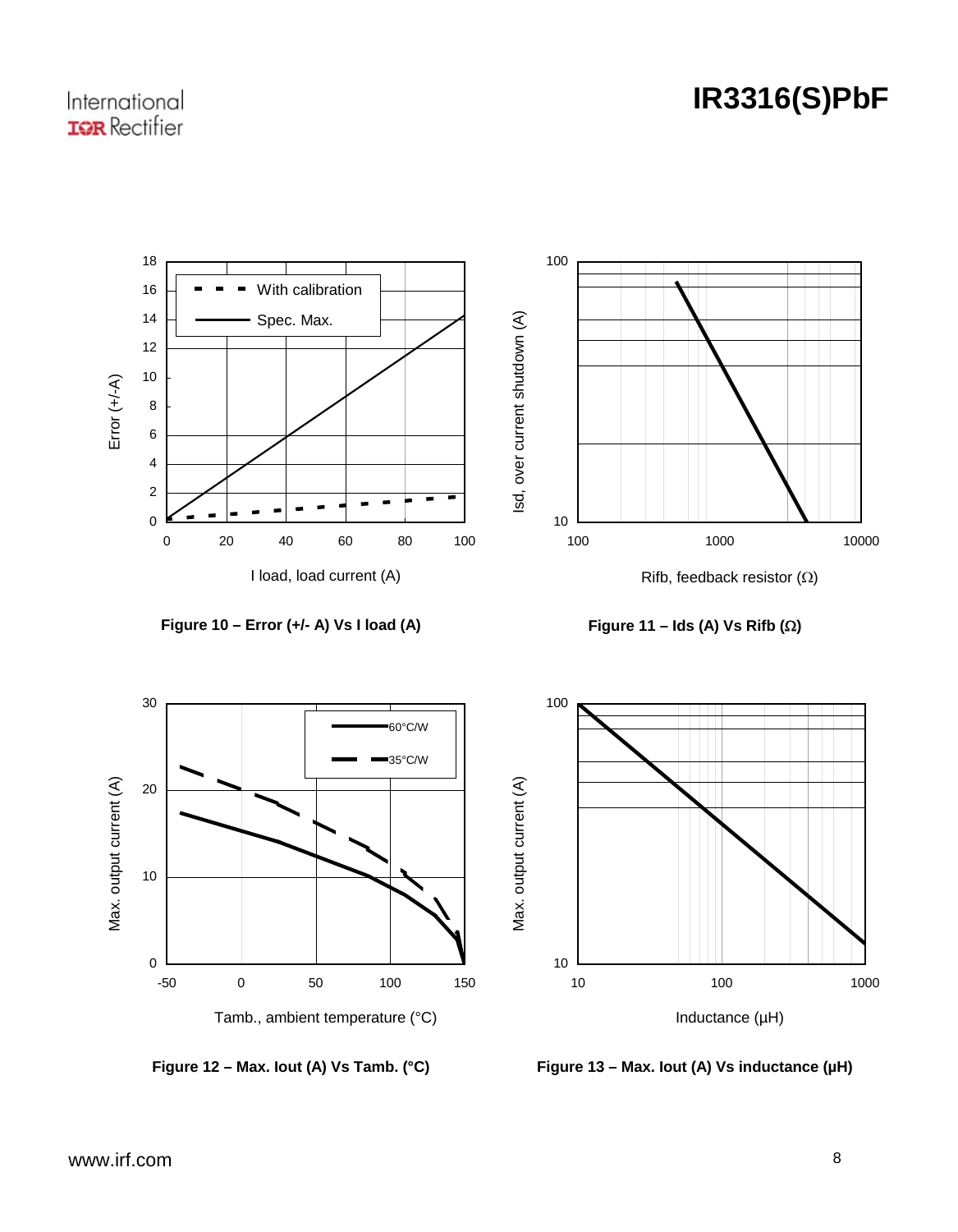# **IR3316(S)PbF**









**Figure 12 – Max. Iout (A) Vs Tamb. (°C)** 



**Figure 13 – Max. Iout (A) Vs inductance (µH)**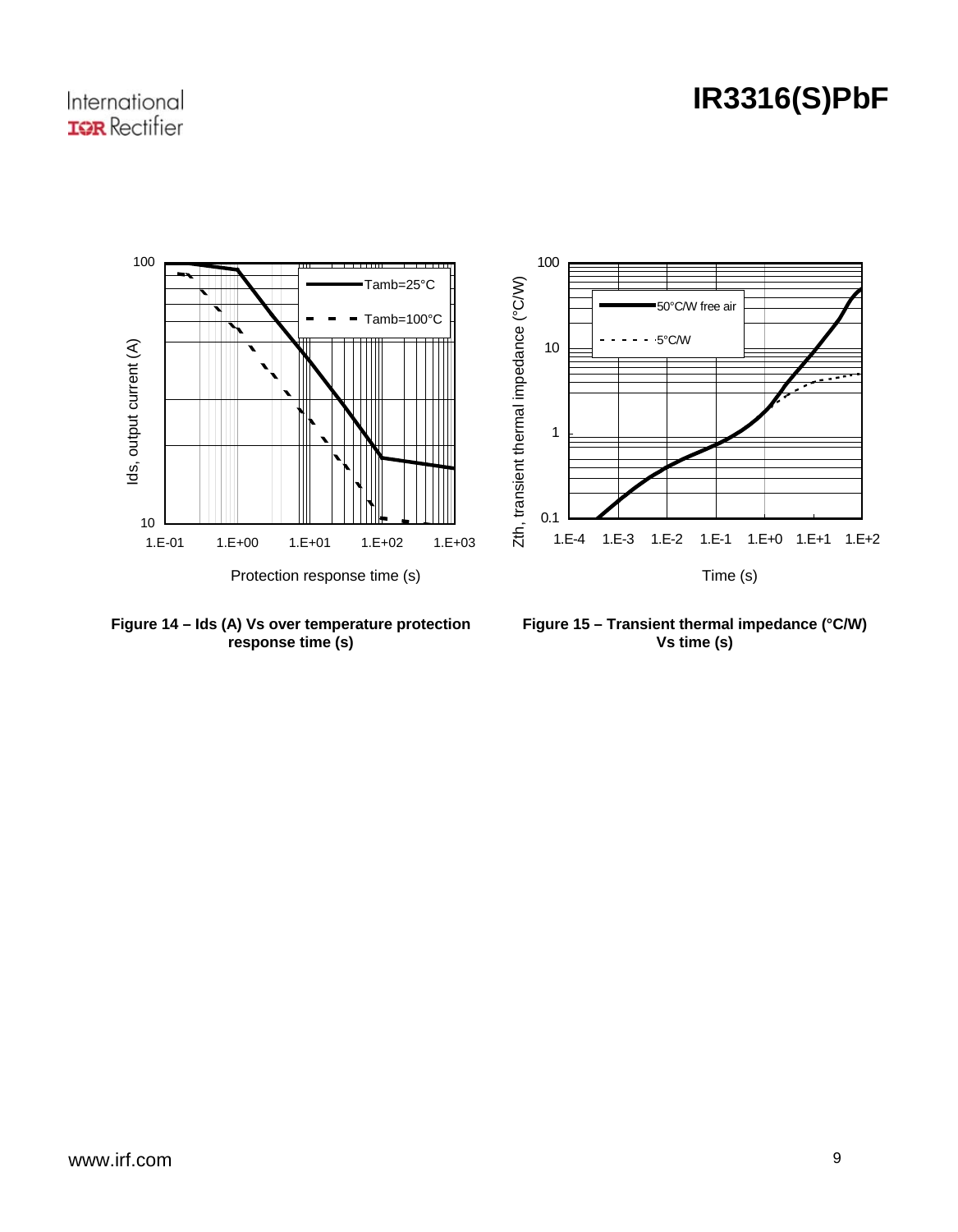# **IR3316(S)PbF**

### International **IGR** Rectifier



Figure 14 - Ids (A) Vs over temperature protection **response time (s) 14 – Ids (A) Vs over temperature prote**

**Figure 15 – Transient thermal impedance (°C/W) Vs time (s)**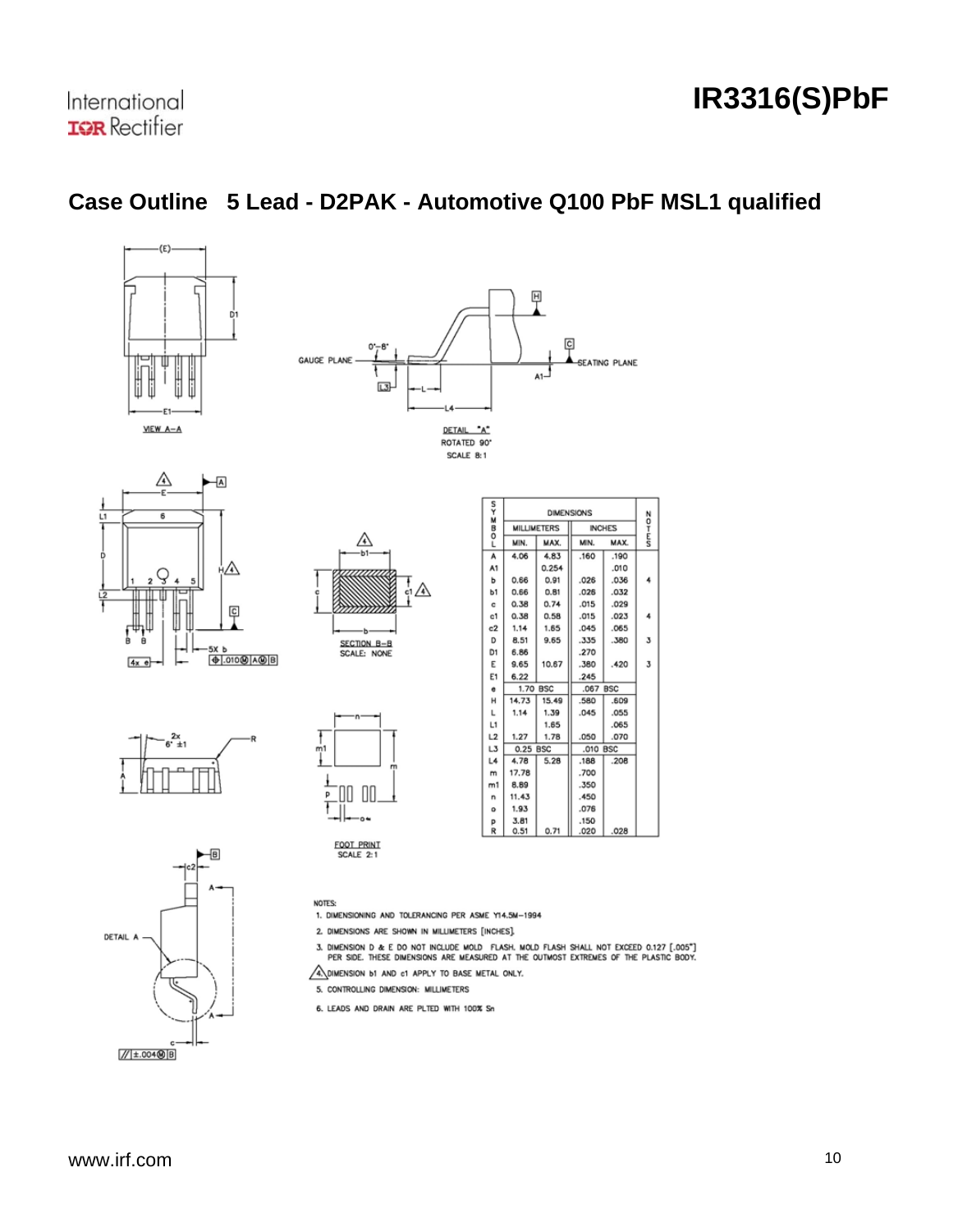# **IR3316(S)PbF**

# **Case Outline 5 Lead - D2PAK - Automotive Q100 PbF MSL1 qualified**









| ş              | <b>DIMENSIONS</b> |                    |      |               |                         |  |  |
|----------------|-------------------|--------------------|------|---------------|-------------------------|--|--|
| $-00Z$         |                   | <b>MILLIMETERS</b> |      | <b>INCHES</b> | ٥<br>Ŧ                  |  |  |
|                | MIN.              | MAX.               | MIN. | <b>MAX</b>    | É                       |  |  |
| A              | 4.06              | 4.83               | .160 | .190          |                         |  |  |
| A1             |                   | 0.254              |      | .010          |                         |  |  |
| ь              | 0.66              | 0.91               | .026 | .036          |                         |  |  |
| b1             | 0.66              | 0.81               | .026 | .032          |                         |  |  |
| c              | 0.38              | 0.74               | .015 | .029          |                         |  |  |
| c1             | 0.38              | 0.58               | .015 | .023          | 4                       |  |  |
| c2             | 1.14              | 1.65               | .045 | .065          |                         |  |  |
| D              | 8.51              | 9.65               | .335 | .380          | $\overline{\mathbf{3}}$ |  |  |
| D <sub>1</sub> | 6.86              |                    | .270 |               |                         |  |  |
| E              | 9.65              | 10.67              | .380 | .420          | $\overline{\mathbf{3}}$ |  |  |
| E1             | 6.22              |                    | .245 |               |                         |  |  |
| e              |                   | 1.70 BSC           |      | <b>BSC</b>    |                         |  |  |
| н              | 14.73             | 15.49              | .580 | .609          |                         |  |  |
| L              | 1.14              | 1.39               | .045 | .055          |                         |  |  |
| L1             |                   | 1.65               |      | .065          |                         |  |  |
| L2             | 1.27              | 1.78               | .050 | .070          |                         |  |  |
| L3             | 0.25 BSC          |                    | .010 | <b>BSC</b>    |                         |  |  |
| L4             | 4.78              | 5.28               | .188 | .208          |                         |  |  |
| m              | 17.78             |                    | .700 |               |                         |  |  |
| m1             | 8.89              |                    | .350 |               |                         |  |  |
| n              | 11.43             |                    | .450 |               |                         |  |  |
| ۰              | 1.93              |                    | .076 |               |                         |  |  |
| p              | 3.81              |                    | .150 |               |                         |  |  |
| R              | 0.51              | 0.71               | .020 | .028          |                         |  |  |





00 加 p

> o٠ FOOT PRINT<br>SCALE 2:1

 $\frac{1}{2}$ 

**NOTES:** 1. DIMENSIONING AND TOLERANCING PER ASME Y14.5M-1994

2. DIMENSIONS ARE SHOWN IN MILLIMETERS [INCHES].

3. DIMENSION D & E DO NOT INCLUDE MOLD FLASH, MOLD FLASH SHALL NOT EXCEED 0.127 [.005"]<br>PER SIDE, THESE DIMENSIONS ARE MEASURED AT THE OUTMOST EXTREMES OF THE PLASTIC BODY.

A DIMENSION **b1** AND c1 APPLY TO BASE METAL ONLY.

5. CONTROLLING DIMENSION: MILLIMETERS

6. LEADS AND DRAIN ARE PLTED WITH 100% Sn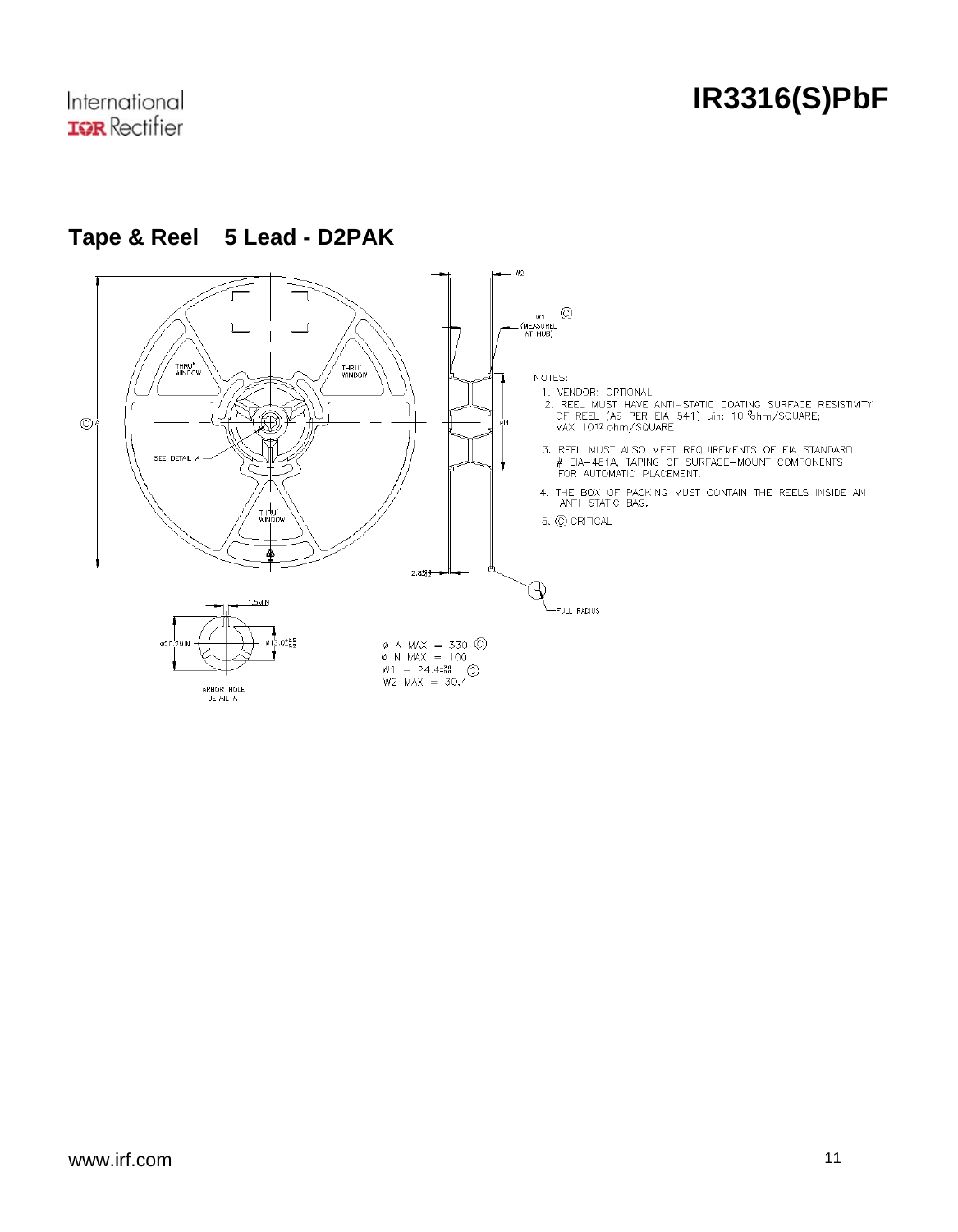

# **Tape & Reel 5 Lead - D2PAK**